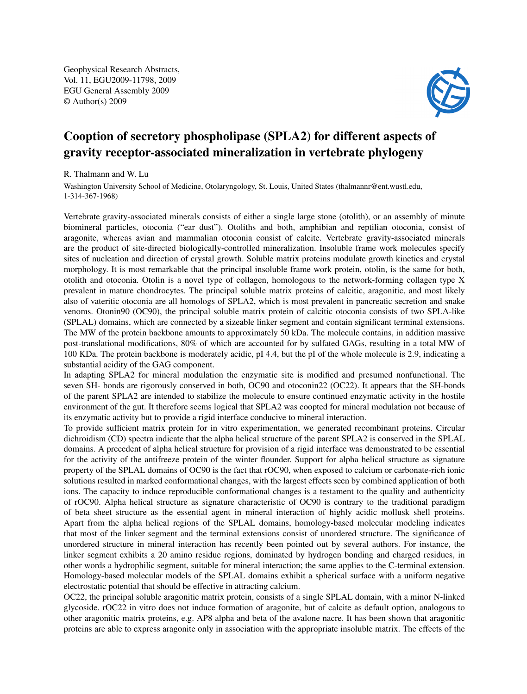Geophysical Research Abstracts, Vol. 11, EGU2009-11798, 2009 EGU General Assembly 2009 © Author(s) 2009



## Cooption of secretory phospholipase (SPLA2) for different aspects of gravity receptor-associated mineralization in vertebrate phylogeny

R. Thalmann and W. Lu

Washington University School of Medicine, Otolaryngology, St. Louis, United States (thalmannr@ent.wustl.edu, 1-314-367-1968)

Vertebrate gravity-associated minerals consists of either a single large stone (otolith), or an assembly of minute biomineral particles, otoconia ("ear dust"). Otoliths and both, amphibian and reptilian otoconia, consist of aragonite, whereas avian and mammalian otoconia consist of calcite. Vertebrate gravity-associated minerals are the product of site-directed biologically-controlled mineralization. Insoluble frame work molecules specify sites of nucleation and direction of crystal growth. Soluble matrix proteins modulate growth kinetics and crystal morphology. It is most remarkable that the principal insoluble frame work protein, otolin, is the same for both, otolith and otoconia. Otolin is a novel type of collagen, homologous to the network-forming collagen type X prevalent in mature chondrocytes. The principal soluble matrix proteins of calcitic, aragonitic, and most likely also of vateritic otoconia are all homologs of SPLA2, which is most prevalent in pancreatic secretion and snake venoms. Otonin90 (OC90), the principal soluble matrix protein of calcitic otoconia consists of two SPLA-like (SPLAL) domains, which are connected by a sizeable linker segment and contain significant terminal extensions. The MW of the protein backbone amounts to approximately 50 kDa. The molecule contains, in addition massive post-translational modifications, 80% of which are accounted for by sulfated GAGs, resulting in a total MW of 100 KDa. The protein backbone is moderately acidic, pI 4.4, but the pI of the whole molecule is 2.9, indicating a substantial acidity of the GAG component.

In adapting SPLA2 for mineral modulation the enzymatic site is modified and presumed nonfunctional. The seven SH- bonds are rigorously conserved in both, OC90 and otoconin22 (OC22). It appears that the SH-bonds of the parent SPLA2 are intended to stabilize the molecule to ensure continued enzymatic activity in the hostile environment of the gut. It therefore seems logical that SPLA2 was coopted for mineral modulation not because of its enzymatic activity but to provide a rigid interface conducive to mineral interaction.

To provide sufficient matrix protein for in vitro experimentation, we generated recombinant proteins. Circular dichroidism (CD) spectra indicate that the alpha helical structure of the parent SPLA2 is conserved in the SPLAL domains. A precedent of alpha helical structure for provision of a rigid interface was demonstrated to be essential for the activity of the antifreeze protein of the winter flounder. Support for alpha helical structure as signature property of the SPLAL domains of OC90 is the fact that rOC90, when exposed to calcium or carbonate-rich ionic solutions resulted in marked conformational changes, with the largest effects seen by combined application of both ions. The capacity to induce reproducible conformational changes is a testament to the quality and authenticity of rOC90. Alpha helical structure as signature characteristic of OC90 is contrary to the traditional paradigm of beta sheet structure as the essential agent in mineral interaction of highly acidic mollusk shell proteins. Apart from the alpha helical regions of the SPLAL domains, homology-based molecular modeling indicates that most of the linker segment and the terminal extensions consist of unordered structure. The significance of unordered structure in mineral interaction has recently been pointed out by several authors. For instance, the linker segment exhibits a 20 amino residue regions, dominated by hydrogen bonding and charged residues, in other words a hydrophilic segment, suitable for mineral interaction; the same applies to the C-terminal extension. Homology-based molecular models of the SPLAL domains exhibit a spherical surface with a uniform negative electrostatic potential that should be effective in attracting calcium.

OC22, the principal soluble aragonitic matrix protein, consists of a single SPLAL domain, with a minor N-linked glycoside. rOC22 in vitro does not induce formation of aragonite, but of calcite as default option, analogous to other aragonitic matrix proteins, e.g. AP8 alpha and beta of the avalone nacre. It has been shown that aragonitic proteins are able to express aragonite only in association with the appropriate insoluble matrix. The effects of the